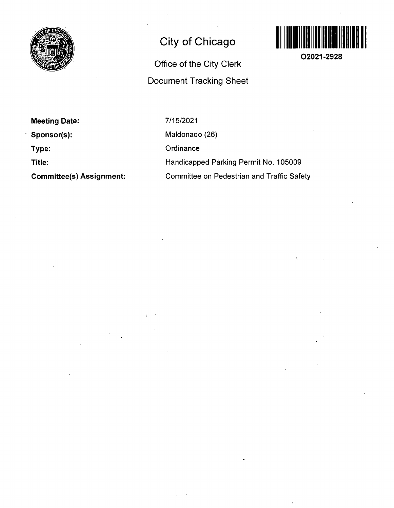

## **City of Chicago**

# **Office of the City Clerk Document Tracking Sheet**



**02021-2928** 

**Meeting Date:** 

**Sponsor(s):** 

**Type:** 

**Title:** 

**Committee(s) Assignment:** 

7/15/2021 Maldonado (26) **Ordinance** Handicapped Parking Permit No. 105009 Committee on Pedestrian and Traffic Safety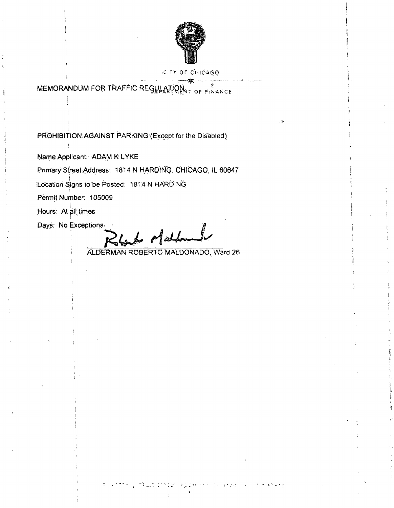

### **GITY OF CHICAGO**

MEMORANDUM FOR TRAFFIC REGULATION. **TOF FINANCE** 

PROHIBITION AGAINST PARKING (Except for the Disabled)

Name Applicant: ADAM K LYKE

Primary Street Address: 1814 N HARDING, CHICAGO, IL 60647

Location Signs to be Posted: 1814 N HARDING

Permit Number: 105009

Hours: At all times

Days: No Exceptions

back of aldoman

ALDERMAN ROBERTO MALDONADO, Ward 26

o striku diwa mneer **Simpson** Se indige afhang 成立文献 计图片